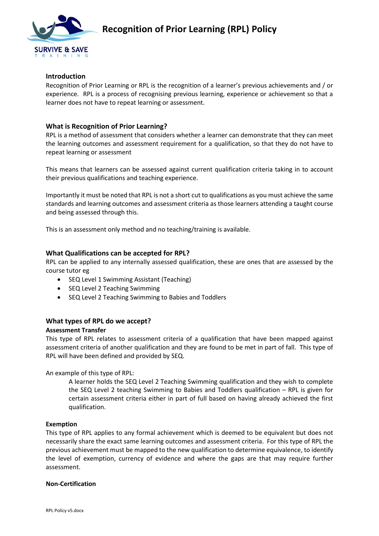

## **Introduction**

Recognition of Prior Learning or RPL is the recognition of a learner's previous achievements and / or experience. RPL is a process of recognising previous learning, experience or achievement so that a learner does not have to repeat learning or assessment.

## **What is Recognition of Prior Learning?**

RPL is a method of assessment that considers whether a learner can demonstrate that they can meet the learning outcomes and assessment requirement for a qualification, so that they do not have to repeat learning or assessment

This means that learners can be assessed against current qualification criteria taking in to account their previous qualifications and teaching experience.

Importantly it must be noted that RPL is not a short cut to qualifications as you must achieve the same standards and learning outcomes and assessment criteria as those learners attending a taught course and being assessed through this.

This is an assessment only method and no teaching/training is available.

## **What Qualifications can be accepted for RPL?**

RPL can be applied to any internally assessed qualification, these are ones that are assessed by the course tutor eg

- SEQ Level 1 Swimming Assistant (Teaching)
- SEQ Level 2 Teaching Swimming
- SEQ Level 2 Teaching Swimming to Babies and Toddlers

# **What types of RPL do we accept?**

## **Assessment Transfer**

This type of RPL relates to assessment criteria of a qualification that have been mapped against assessment criteria of another qualification and they are found to be met in part of fall. This type of RPL will have been defined and provided by SEQ.

An example of this type of RPL:

A learner holds the SEQ Level 2 Teaching Swimming qualification and they wish to complete the SEQ Level 2 teaching Swimming to Babies and Toddlers qualification – RPL is given for certain assessment criteria either in part of full based on having already achieved the first qualification.

#### **Exemption**

This type of RPL applies to any formal achievement which is deemed to be equivalent but does not necessarily share the exact same learning outcomes and assessment criteria. For this type of RPL the previous achievement must be mapped to the new qualification to determine equivalence, to identify the level of exemption, currency of evidence and where the gaps are that may require further assessment.

#### **Non-Certification**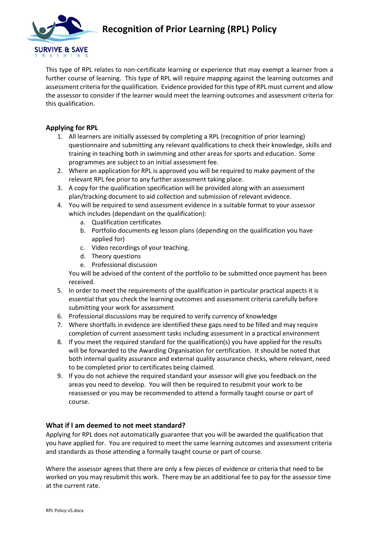

This type of RPL relates to non-certificate learning or experience that may exempt a learner from a further course of learning. This type of RPL will require mapping against the learning outcomes and assessment criteria for the qualification. Evidence provided for this type of RPL must current and allow the assessor to consider if the learner would meet the learning outcomes and assessment criteria for this qualification.

# **Applying for RPL**

- 1. All learners are initially assessed by completing a RPL (recognition of prior learning) questionnaire and submitting any relevant qualifications to check their knowledge, skills and training in teaching both in swimming and other areas for sports and education. Some programmes are subject to an initial assessment fee.
- 2. Where an application for RPL is approved you will be required to make payment of the relevant RPL fee prior to any further assessment taking place.
- 3. A copy for the qualification specification will be provided along with an assessment plan/tracking document to aid collection and submission of relevant evidence.
- 4. You will be required to send assessment evidence in a suitable format to your assessor which includes (dependant on the qualification):
	- a. Qualification certificates
	- b. Portfolio documents eg lesson plans (depending on the qualification you have applied for)
	- c. Video recordings of your teaching.
	- d. Theory questions
	- e. Professional discussion

You will be advised of the content of the portfolio to be submitted once payment has been received.

- 5. In order to meet the requirements of the qualification in particular practical aspects it is essential that you check the learning outcomes and assessment criteria carefully before submitting your work for assessment
- 6. Professional discussions may be required to verify currency of knowledge
- 7. Where shortfalls in evidence are identified these gaps need to be filled and may require completion of current assessment tasks including assessment in a practical environment
- 8. If you meet the required standard for the qualification(s) you have applied for the results will be forwarded to the Awarding Organisation for certification. It should be noted that both internal quality assurance and external quality assurance checks, where relevant, need to be completed prior to certificates being claimed.
- 9. If you do not achieve the required standard your assessor will give you feedback on the areas you need to develop. You will then be required to resubmit your work to be reassessed or you may be recommended to attend a formally taught course or part of course.

# **What if I am deemed to not meet standard?**

Applying for RPL does not automatically guarantee that you will be awarded the qualification that you have applied for. You are required to meet the same learning outcomes and assessment criteria and standards as those attending a formally taught course or part of course.

Where the assessor agrees that there are only a few pieces of evidence or criteria that need to be worked on you may resubmit this work. There may be an additional fee to pay for the assessor time at the current rate.